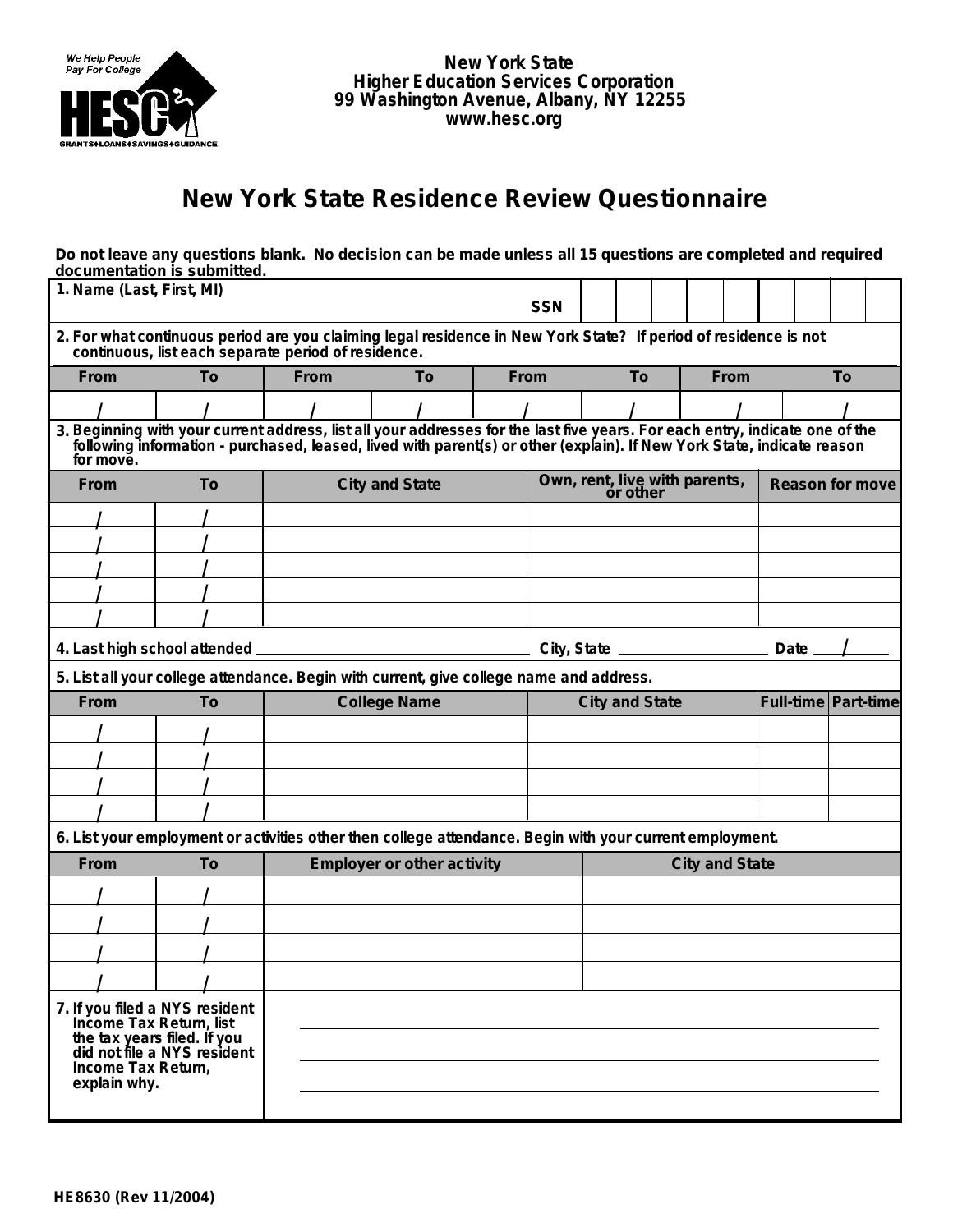

**New York State Higher Education Services Corporation 99 Washington Avenue, Albany, NY 12255 www.hesc.org**

## **New York State Residence Review Questionnaire**

## **Do not leave any questions blank. No decision can be made unless all 15 questions are completed and required documentation is submitted.**

| 1. Name (Last, First, MI)                                                                                                                                              |                                                                                                                                                                                                                                |                       |                                   | <b>SSN</b>            |                                           |                       |  |  |                       |                        |                               |  |  |
|------------------------------------------------------------------------------------------------------------------------------------------------------------------------|--------------------------------------------------------------------------------------------------------------------------------------------------------------------------------------------------------------------------------|-----------------------|-----------------------------------|-----------------------|-------------------------------------------|-----------------------|--|--|-----------------------|------------------------|-------------------------------|--|--|
| 2. For what continuous period are you claiming legal residence in New York State? If period of residence is not<br>continuous, list each separate period of residence. |                                                                                                                                                                                                                                |                       |                                   |                       |                                           |                       |  |  |                       |                        |                               |  |  |
| From                                                                                                                                                                   | To                                                                                                                                                                                                                             | From                  | To                                | From                  |                                           | To<br>From            |  |  |                       | To                     |                               |  |  |
|                                                                                                                                                                        |                                                                                                                                                                                                                                |                       |                                   |                       |                                           |                       |  |  |                       |                        |                               |  |  |
| for move.                                                                                                                                                              | 3. Beginning with your current address, list all your addresses for the last five years. For each entry, indicate one of the following information - purchased, leased, lived with parent(s) or other (explain). If New York S |                       |                                   |                       |                                           |                       |  |  |                       |                        |                               |  |  |
| <b>From</b>                                                                                                                                                            | To                                                                                                                                                                                                                             | <b>City and State</b> |                                   |                       | Own, rent, live with parents,<br>or other |                       |  |  |                       | <b>Reason for move</b> |                               |  |  |
|                                                                                                                                                                        |                                                                                                                                                                                                                                |                       |                                   |                       |                                           |                       |  |  |                       |                        |                               |  |  |
|                                                                                                                                                                        |                                                                                                                                                                                                                                |                       |                                   |                       |                                           |                       |  |  |                       |                        |                               |  |  |
|                                                                                                                                                                        |                                                                                                                                                                                                                                |                       |                                   |                       |                                           |                       |  |  |                       |                        |                               |  |  |
|                                                                                                                                                                        |                                                                                                                                                                                                                                |                       |                                   |                       |                                           |                       |  |  |                       |                        |                               |  |  |
|                                                                                                                                                                        |                                                                                                                                                                                                                                |                       |                                   |                       |                                           |                       |  |  |                       |                        |                               |  |  |
|                                                                                                                                                                        |                                                                                                                                                                                                                                |                       |                                   |                       |                                           |                       |  |  |                       |                        | Date $\overline{\phantom{0}}$ |  |  |
|                                                                                                                                                                        | 5. List all your college attendance. Begin with current, give college name and address.                                                                                                                                        |                       |                                   |                       |                                           |                       |  |  |                       |                        |                               |  |  |
| From                                                                                                                                                                   | To                                                                                                                                                                                                                             | <b>College Name</b>   |                                   | <b>City and State</b> |                                           |                       |  |  | Full-time   Part-time |                        |                               |  |  |
|                                                                                                                                                                        |                                                                                                                                                                                                                                |                       |                                   |                       |                                           |                       |  |  |                       |                        |                               |  |  |
|                                                                                                                                                                        |                                                                                                                                                                                                                                |                       |                                   |                       |                                           |                       |  |  |                       |                        |                               |  |  |
|                                                                                                                                                                        |                                                                                                                                                                                                                                |                       |                                   |                       |                                           |                       |  |  |                       |                        |                               |  |  |
|                                                                                                                                                                        |                                                                                                                                                                                                                                |                       |                                   |                       |                                           |                       |  |  |                       |                        |                               |  |  |
|                                                                                                                                                                        | 6. List your employment or activities other then college attendance. Begin with your current employment.                                                                                                                       |                       |                                   |                       |                                           |                       |  |  |                       |                        |                               |  |  |
| From                                                                                                                                                                   | To                                                                                                                                                                                                                             |                       | <b>Employer or other activity</b> |                       |                                           | <b>City and State</b> |  |  |                       |                        |                               |  |  |
|                                                                                                                                                                        |                                                                                                                                                                                                                                |                       |                                   |                       |                                           |                       |  |  |                       |                        |                               |  |  |
|                                                                                                                                                                        |                                                                                                                                                                                                                                |                       |                                   |                       |                                           |                       |  |  |                       |                        |                               |  |  |
|                                                                                                                                                                        |                                                                                                                                                                                                                                |                       |                                   |                       |                                           |                       |  |  |                       |                        |                               |  |  |
|                                                                                                                                                                        |                                                                                                                                                                                                                                |                       |                                   |                       |                                           |                       |  |  |                       |                        |                               |  |  |
| Income Tax Return,<br>explain why.                                                                                                                                     | 7. If you filed a NYS resident<br>Income Tax Return, list<br>the tax years filed. If you<br>did not file a NYS resident                                                                                                        |                       |                                   |                       |                                           |                       |  |  |                       |                        |                               |  |  |